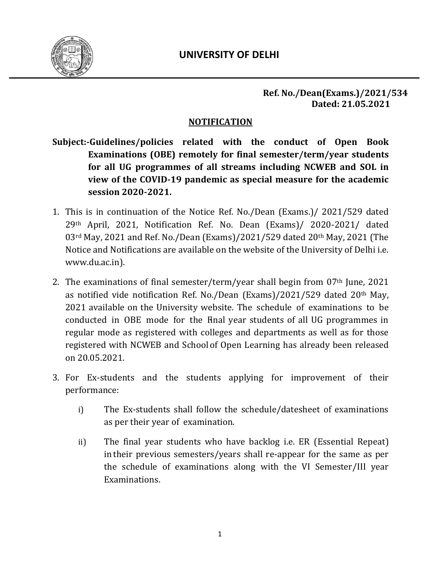

#### **Ref. No./Dean(Exams.)/2021/534 Dated: 21.05.2021**

## **NOTIFICATION**

- **Subject:-Guidelines/policies related with the conduct of Open Book Examinations (OBE) remotely for final semester/term/year students for all UG programmes of all streams including NCWEB and SOL in view of the COVID-19 pandemic as special measure for the academic session 2020-2021.**
- 1. This is in continuation of the Notice Ref. No./Dean (Exams.)/ 2021/529 dated 29th April, 2021, Notification Ref. No. Dean (Exams)/ 2020-2021/ dated 03rd May, 2021 and Ref. No./Dean (Exams)/2021/529 dated 20th May, 2021 (The Notice and Notifications are available on the website of the University of Delhi i.e. www.du.ac.in).
- 2. The examinations of final semester/term/year shall begin from  $07<sup>th</sup>$  June, 2021 as notified vide notification Ref. No./Dean (Exams)/2021/529 dated 20th May, 2021 available on the University website. The schedule of examinations to be conducted in OBE mode for the Final year students of all UG programmes in regular mode as registered with colleges and departments as well as for those registered with NCWEB and Schoolof Open Learning has already been released on 20.05.2021.
- 3. For Ex-students and the students applying for improvement of their performance:
	- i) The Ex-students shall follow the schedule/datesheet of examinations as per their year of examination.
	- ii) The final year students who have backlog i.e. ER (Essential Repeat) in their previous semesters/years shall re-appear for the same as per the schedule of examinations along with the VI Semester/III year Examinations.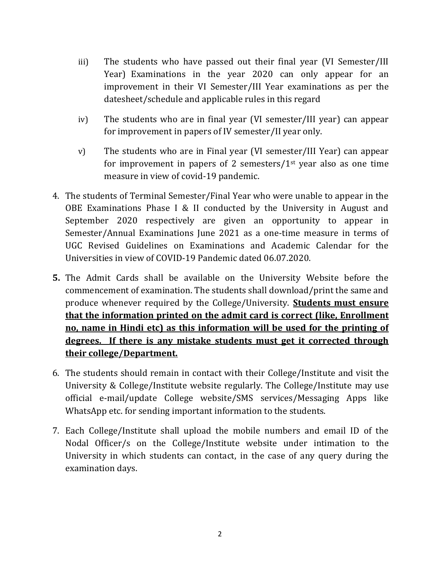- iii) The students who have passed out their final year (VI Semester/III Year) Examinations in the year 2020 can only appear for an improvement in their VI Semester/III Year examinations as per the datesheet/schedule and applicable rules in this regard
- iv) The students who are in final year (VI semester/III year) can appear for improvement in papers of IV semester/II year only.
- v) The students who are in Final year (VI semester/III Year) can appear for improvement in papers of 2 semesters/ $1<sup>st</sup>$  year also as one time measure in view of covid-19 pandemic.
- 4. The students of Terminal Semester/Final Year who were unable to appear in the OBE Examinations Phase I & II conducted by the University in August and September 2020 respectively are given an opportunity to appear in Semester/Annual Examinations June 2021 as a one-time measure in terms of UGC Revised Guidelines on Examinations and Academic Calendar for the Universities in view of COVID-19 Pandemic dated 06.07.2020.
- **5.** The Admit Cards shall be available on the University Website before the commencement of examination. The students shall download/print the same and produce whenever required by the College/University. **Students must ensure that the information printed on the admit card is correct (like, Enrollment no, name in Hindi etc) as this information will be used for the printing of degrees. If there is any mistake students must get it corrected through their college/Department.**
- 6. The students should remain in contact with their College/Institute and visit the University & College/Institute website regularly. The College/Institute may use official e-mail/update College website/SMS services/Messaging Apps like WhatsApp etc. for sending important information to the students.
- 7. Each College/Institute shall upload the mobile numbers and email ID of the Nodal Officer/s on the College/Institute website under intimation to the University in which students can contact, in the case of any query during the examination days.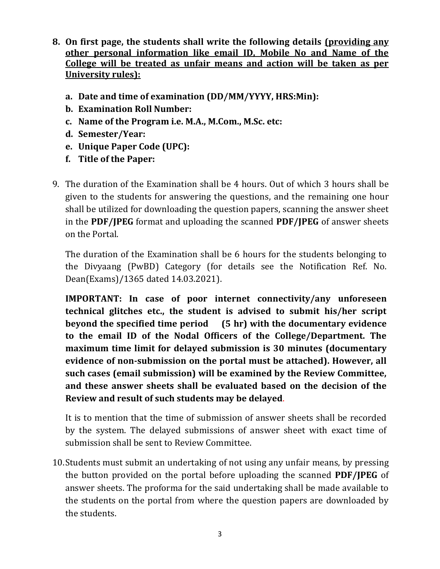- **8. On first page, the students shall write the following details (providing any other personal information like email ID, Mobile No and Name of the College will be treated as unfair means and action will be taken as per University rules):**
	- **a. Date and time of examination (DD/MM/YYYY, HRS:Min):**
	- **b. Examination Roll Number:**
	- **c. Name of the Program i.e. M.A., M.Com., M.Sc. etc:**
	- **d. Semester/Year:**
	- **e. Unique Paper Code (UPC):**
	- **f. Title of the Paper:**
- 9. The duration of the Examination shall be 4 hours. Out of which 3 hours shall be given to the students for answering the questions, and the remaining one hour shall be utilized for downloading the question papers, scanning the answer sheet in the **PDF/JPEG** format and uploading the scanned **PDF/JPEG** of answer sheets on the Portal.

The duration of the Examination shall be 6 hours for the students belonging to the Divyaang (PwBD) Category (for details see the Notification Ref. No. Dean(Exams)/1365 dated 14.03.2021).

**IMPORTANT: In case of poor internet connectivity/any unforeseen technical glitches etc., the student is advised to submit his/her script beyond the specified time period (5 hr) with the documentary evidence to the email ID of the Nodal Officers of the College/Department. The maximum time limit for delayed submission is 30 minutes (documentary evidence of non-submission on the portal must be attached). However, all such cases (email submission) will be examined by the Review Committee, and these answer sheets shall be evaluated based on the decision of the Review and result of such students may be delayed**.

It is to mention that the time of submission of answer sheets shall be recorded by the system. The delayed submissions of answer sheet with exact time of submission shall be sent to Review Committee.

10.Students must submit an undertaking of not using any unfair means, by pressing the button provided on the portal before uploading the scanned **PDF/JPEG** of answer sheets. The proforma for the said undertaking shall be made available to the students on the portal from where the question papers are downloaded by the students.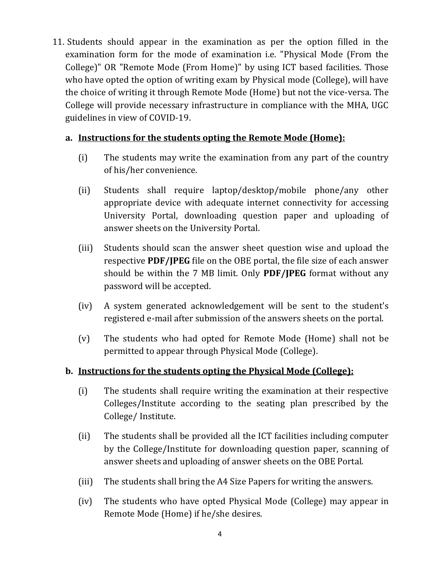11. Students should appear in the examination as per the option filled in the examination form for the mode of examination i.e. "Physical Mode (From the College)" OR "Remote Mode (From Home)" by using ICT based facilities. Those who have opted the option of writing exam by Physical mode (College), will have the choice of writing it through Remote Mode (Home) but not the vice-versa. The College will provide necessary infrastructure in compliance with the MHA, UGC guidelines in view of COVID-19.

## **a. Instructions for the students opting the Remote Mode (Home):**

- (i) The students may write the examination from any part of the country of his/her convenience.
- (ii) Students shall require laptop/desktop/mobile phone/any other appropriate device with adequate internet connectivity for accessing University Portal, downloading question paper and uploading of answer sheets on the University Portal.
- (iii) Students should scan the answer sheet question wise and upload the respective **PDF/JPEG** file on the OBE portal, the file size of each answer should be within the 7 MB limit. Only **PDF/JPEG** format without any password will be accepted.
- (iv) A system generated acknowledgement will be sent to the student's registered e-mail after submission of the answers sheets on the portal.
- (v) The students who had opted for Remote Mode (Home) shall not be permitted to appear through Physical Mode (College).

# **b. Instructions for the students opting the Physical Mode (College):**

- (i) The students shall require writing the examination at their respective Colleges/Institute according to the seating plan prescribed by the College/ Institute.
- (ii) The students shall be provided all the ICT facilities including computer by the College/Institute for downloading question paper, scanning of answer sheets and uploading of answer sheets on the OBE Portal.
- (iii) The students shall bring the A4 Size Papers for writing the answers.
- (iv) The students who have opted Physical Mode (College) may appear in Remote Mode (Home) if he/she desires.